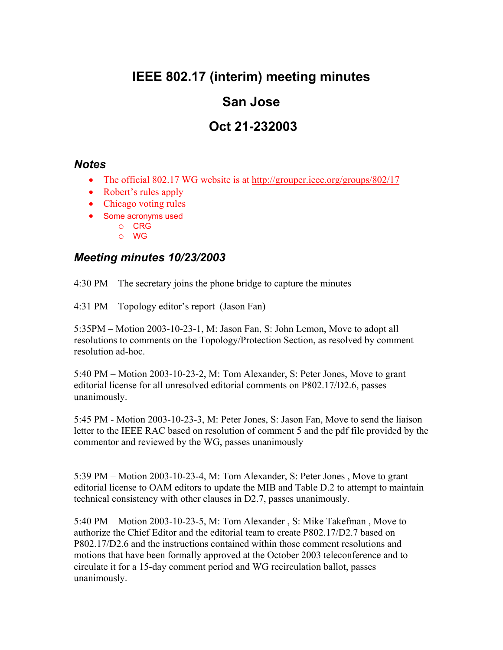# **IEEE 802.17 (interim) meeting minutes**

### **San Jose**

# **Oct 21-232003**

#### *Notes*

- The official 802.17 WG website is at http://grouper.ieee.org/groups/802/17
- Robert's rules apply
- Chicago voting rules
- Some acronyms used
	- o CRG
	- o WG

#### *Meeting minutes 10/23/2003*

4:30 PM – The secretary joins the phone bridge to capture the minutes

4:31 PM – Topology editor's report (Jason Fan)

5:35PM – Motion 2003-10-23-1, M: Jason Fan, S: John Lemon, Move to adopt all resolutions to comments on the Topology/Protection Section, as resolved by comment resolution ad-hoc.

5:40 PM – Motion 2003-10-23-2, M: Tom Alexander, S: Peter Jones, Move to grant editorial license for all unresolved editorial comments on P802.17/D2.6, passes unanimously.

5:45 PM - Motion 2003-10-23-3, M: Peter Jones, S: Jason Fan, Move to send the liaison letter to the IEEE RAC based on resolution of comment 5 and the pdf file provided by the commentor and reviewed by the WG, passes unanimously

5:39 PM – Motion 2003-10-23-4, M: Tom Alexander, S: Peter Jones , Move to grant editorial license to OAM editors to update the MIB and Table D.2 to attempt to maintain technical consistency with other clauses in D2.7, passes unanimously.

5:40 PM – Motion 2003-10-23-5, M: Tom Alexander , S: Mike Takefman , Move to authorize the Chief Editor and the editorial team to create P802.17/D2.7 based on P802.17/D2.6 and the instructions contained within those comment resolutions and motions that have been formally approved at the October 2003 teleconference and to circulate it for a 15-day comment period and WG recirculation ballot, passes unanimously.